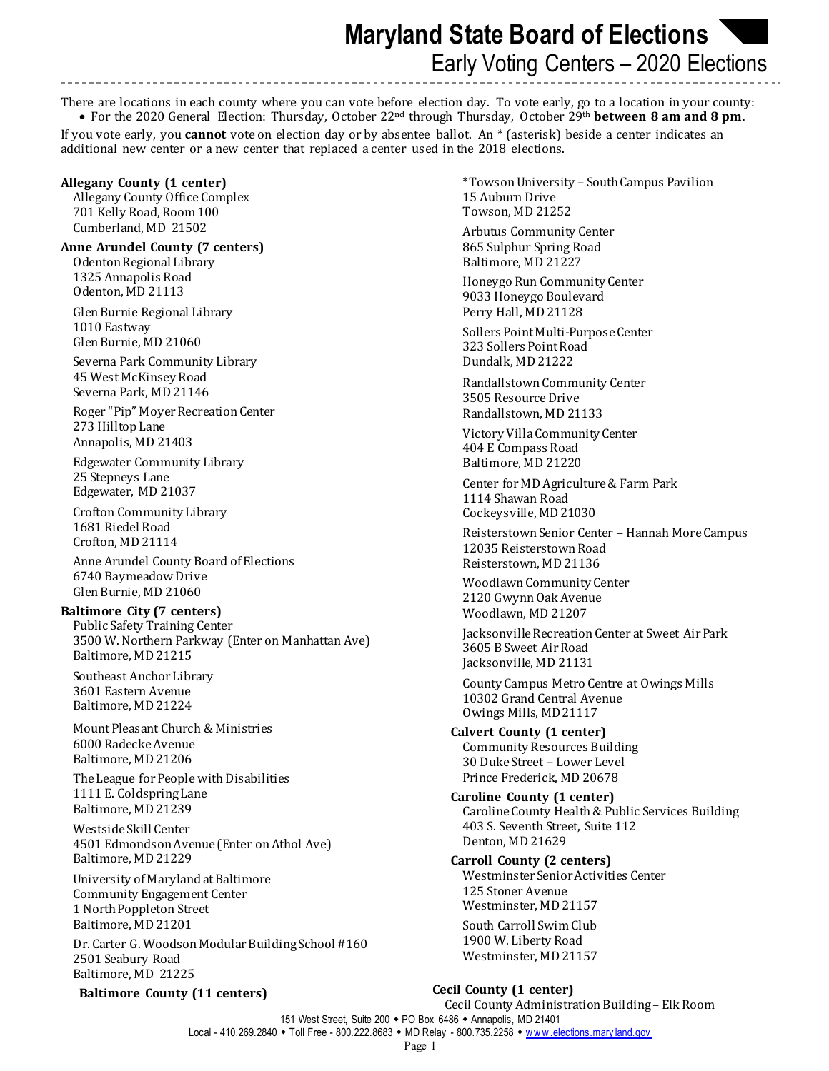**Maryland State Board of Elections**  Early Voting Centers – 2020 Elections

There are locations in each county where you can vote before election day. To vote early, go to a location in your county:

• For the 2020 General Election: Thursday, October 22nd through Thursday, October 29th **between 8 am and 8 pm.** If you vote early, you **cannot** vote on election day or by absentee ballot. An \* (asterisk) beside a center indicates an additional new center or a new center that replaced a center used in the 2018 elections.

## **Allegany County (1 center)**

Allegany County Office Complex 701 Kelly Road, Room 100 Cumberland, MD 21502

### **Anne Arundel County (7 centers)**

Odenton Regional Library 1325 Annapolis Road Odenton, MD 21113

Glen Burnie Regional Library 1010 Eastway Glen Burnie, MD 21060

Severna Park Community Library 45 West McKinsey Road Severna Park, MD 21146

Roger "Pip" Moyer Recreation Center 273 Hilltop Lane Annapolis, MD 21403

Edgewater Community Library 25 Stepneys Lane Edgewater, MD 21037

Crofton Community Library 1681 Riedel Road Crofton, MD 21114

Anne Arundel County Board of Elections 6740 Baymeadow Drive Glen Burnie, MD 21060

## **Baltimore City (7 centers)**

Public Safety Training Center 3500 W. Northern Parkway (Enter on Manhattan Ave) Baltimore, MD 21215

Southeast Anchor Library 3601 Eastern Avenue Baltimore, MD 21224

Mount Pleasant Church & Ministries 6000 Radecke Avenue Baltimore, MD 21206

The League for People with Disabilities 1111 E. Coldspring Lane Baltimore, MD 21239

Westside Skill Center 4501 Edmondson Avenue (Enter on Athol Ave) Baltimore, MD 21229

University of Marylandat Baltimore Community Engagement Center 1 North Poppleton Street Baltimore, MD 21201

Dr. Carter G. Woodson Modular Building School #160 2501 Seabury Road Baltimore, MD 21225

**Baltimore County (11 centers)**

\*Towson University – South Campus Pavilion 15 Auburn Drive Towson, MD 21252

Arbutus Community Center 865 Sulphur Spring Road Baltimore, MD 21227

Honeygo Run Community Center 9033 Honeygo Boulevard Perry Hall, MD 21128

Sollers Point Multi-Purpose Center 323 Sollers Point Road Dundalk, MD 21222

Randallstown Community Center 3505 Resource Drive Randallstown, MD 21133

Victory VillaCommunity Center 404 E Compass Road Baltimore, MD 21220

Center for MD Agriculture& Farm Park 1114 Shawan Road Cockeysville, MD 21030

Reisterstown Senior Center – Hannah More Campus 12035 Reisterstown Road Reisterstown, MD 21136

Woodlawn Community Center 2120 Gwynn Oak Avenue Woodlawn, MD 21207

Jacksonville Recreation Center at Sweet Air Park 3605 B Sweet Air Road Jacksonville, MD 21131

County Campus Metro Centre at Owings Mills 10302 Grand Central Avenue Owings Mills, MD 21117

**Calvert County (1 center)** Community Resources Building 30 Duke Street – Lower Level Prince Frederick, MD 20678

**Caroline County (1 center)** Caroline County Health & Public Services Building 403 S. Seventh Street, Suite 112 Denton, MD 21629

**Carroll County (2 centers)** Westminster Senior Activities Center 125 Stoner Avenue Westminster, MD 21157

South Carroll Swim Club 1900 W. Liberty Road Westminster, MD 21157

# **Cecil County (1 center)**

151 West Street, Suite 200 PO Box 6486 Annapolis, MD 21401 Local - 410.269.2840 • Toll Free - 800.222.8683 • MD Relay - 800.735.2258 • www.elections.mary land.gov Cecil County Administration Building – Elk Room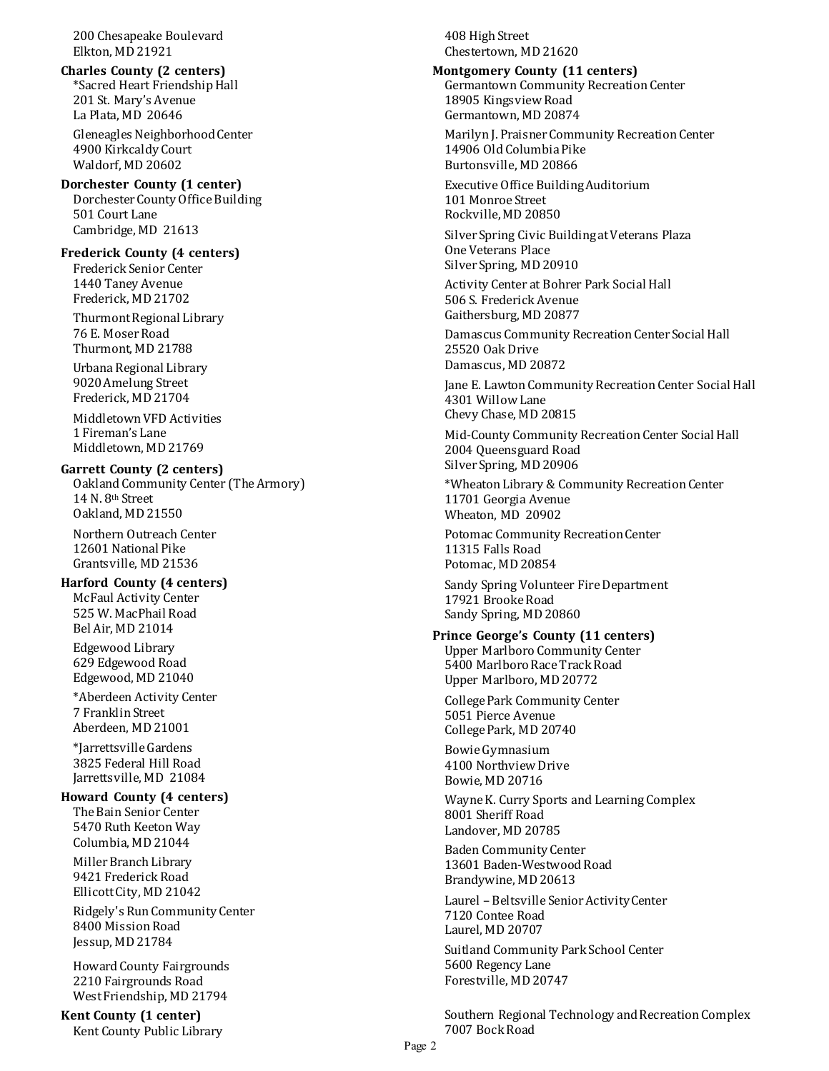200 Chesapeake Boulevard Elkton, MD 21921

**Charles County (2 centers)** \*Sacred Heart Friendship Hall 201 St. Mary's Avenue La Plata, MD 20646

Gleneagles Neighborhood Center 4900 Kirkcaldy Court Waldorf, MD 20602

## **Dorchester County (1 center)**

Dorchester County Office Building 501 Court Lane Cambridge, MD 21613

### **Frederick County (4 centers)**

Frederick Senior Center 1440 Taney Avenue Frederick, MD 21702

Thurmont Regional Library 76 E. Moser Road Thurmont, MD 21788

Urbana Regional Library 9020 Amelung Street Frederick, MD 21704

 Middletown VFD Activities 1 Fireman's Lane Middletown, MD 21769

### **Garrett County (2 centers)**

Oakland Community Center (The Armory) 14 N. 8th Street Oakland, MD 21550

Northern Outreach Center 12601 National Pike Grantsville, MD 21536

#### **Harford County (4 centers)**

McFaul Activity Center 525 W. MacPhail Road Bel Air, MD 21014

Edgewood Library 629 Edgewood Road Edgewood, MD 21040

\*Aberdeen Activity Center 7 Franklin Street Aberdeen, MD 21001

\*Jarrettsville Gardens 3825 Federal Hill Road Jarrettsville, MD 21084

## **Howard County (4 centers)**

The Bain Senior Center 5470 Ruth Keeton Way Columbia, MD 21044

Miller Branch Library 9421 Frederick Road Ellicott City, MD 21042

Ridgely's Run Community Center 8400 Mission Road Jessup, MD 21784

Howard County Fairgrounds 2210 Fairgrounds Road West Friendship, MD 21794

**Kent County (1 center)** Kent County Public Library 408 High Street Chestertown, MD 21620

**Montgomery County (11 centers)** Germantown Community Recreation Center 18905 Kingsview Road Germantown, MD 20874

Marilyn J. Praisner Community Recreation Center 14906 Old Columbia Pike Burtonsville, MD 20866

Executive Office BuildingAuditorium 101 Monroe Street Rockville,MD 20850

Silver Spring Civic Buildingat Veterans Plaza One Veterans Place Silver Spring, MD 20910

Activity Center at Bohrer Park Social Hall 506 S. Frederick Avenue Gaithersburg, MD 20877

Damascus Community Recreation Center Social Hall 25520 Oak Drive Damascus, MD 20872

Jane E. Lawton Community Recreation Center Social Hall 4301 Willow Lane Chevy Chase, MD 20815

Mid-County Community Recreation Center Social Hall 2004 Queensguard Road Silver Spring, MD 20906

\*Wheaton Library & Community Recreation Center 11701 Georgia Avenue Wheaton, MD 20902

Potomac Community Recreation Center 11315 Falls Road Potomac, MD 20854

Sandy Spring Volunteer Fire Department 17921 Brooke Road Sandy Spring, MD 20860

## **Prince George's County (11 centers)**

Upper Marlboro Community Center 5400 Marlboro Race Track Road Upper Marlboro, MD 20772

College Park Community Center 5051 Pierce Avenue College Park, MD 20740

Bowie Gymnasium 4100 Northview Drive Bowie, MD 20716

Wayne K. Curry Sports and Learning Complex 8001 Sheriff Road Landover, MD 20785

Baden Community Center 13601 Baden-Westwood Road Brandywine, MD 20613

Laurel – Beltsville Senior Activity Center 7120 Contee Road Laurel, MD 20707

Suitland Community Park School Center 5600 Regency Lane Forestville, MD 20747

Southern Regional Technology and Recreation Complex 7007 Bock Road